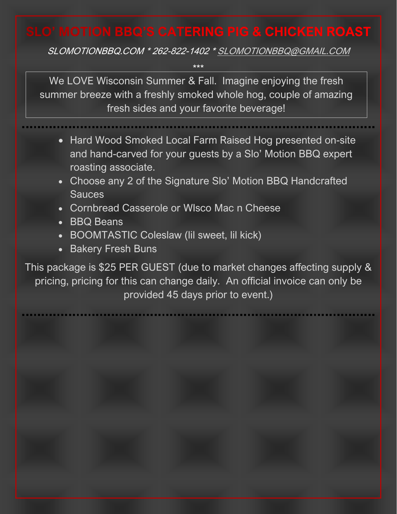## **SLO' MOTION BBQ'S CATERING PIG & CHICKEN ROAST**

SLOMOTIONBBQ.COM \* 262-822-1402 [\\* SLOMOTIONBBQ@GMAIL.COM](mailto:SLOMOTIONBBQ@GMAIL.COM)

\*\*\*

We LOVE Wisconsin Summer & Fall. Imagine enjoying the fresh summer breeze with a freshly smoked whole hog, couple of amazing fresh sides and your favorite beverage!

Personally, I cannot think of anything better to eat and celebrate with

- Hard Wood Smoked Local Farm Raised Hog presented on-site and hand-carved for your guests by a Slo' Motion BBQ expert roasting associate.
- Choose any 2 of the Signature Slo' Motion BBQ Handcrafted Sauces
- Cornbread Casserole or WIsco Mac n Cheese
- BBQ Beans
- BOOMTASTIC Coleslaw (lil sweet, lil kick)
- Bakery Fresh Buns

This package is \$25 PER GUEST (due to market changes affecting supply & pricing, pricing for this can change daily. An official invoice can only be provided 45 days prior to event.)